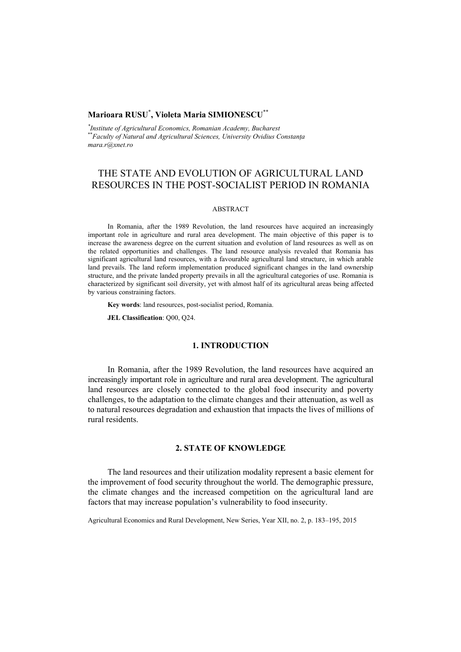## **Marioara RUSU**\* **, Violeta Maria SIMIONESCU**\*\*

<sup>\*</sup>Institute of Agricultural Economics, Romanian Academy, Bucharest *Institute of Agricultural Economics, Romanian Academy, Bucharest* \*\**Faculty of Natural and Agricultural Sciences, University Ovidius Constanţa mara.r@xnet.ro* 

# THE STATE AND EVOLUTION OF AGRICULTURAL LAND RESOURCES IN THE POST-SOCIALIST PERIOD IN ROMANIA

### ABSTRACT

In Romania, after the 1989 Revolution, the land resources have acquired an increasingly important role in agriculture and rural area development. The main objective of this paper is to increase the awareness degree on the current situation and evolution of land resources as well as on the related opportunities and challenges. The land resource analysis revealed that Romania has significant agricultural land resources, with a favourable agricultural land structure, in which arable land prevails. The land reform implementation produced significant changes in the land ownership structure, and the private landed property prevails in all the agricultural categories of use. Romania is characterized by significant soil diversity, yet with almost half of its agricultural areas being affected by various constraining factors.

**Key words**: land resources, post-socialist period, Romania.

**JEL Classification**: Q00, Q24.

#### **1. INTRODUCTION**

In Romania, after the 1989 Revolution, the land resources have acquired an increasingly important role in agriculture and rural area development. The agricultural land resources are closely connected to the global food insecurity and poverty challenges, to the adaptation to the climate changes and their attenuation, as well as to natural resources degradation and exhaustion that impacts the lives of millions of rural residents.

### **2. STATE OF KNOWLEDGE**

The land resources and their utilization modality represent a basic element for the improvement of food security throughout the world. The demographic pressure, the climate changes and the increased competition on the agricultural land are factors that may increase population's vulnerability to food insecurity.

Agricultural Economics and Rural Development, New Series, Year XII, no. 2, p. 183–195, 2015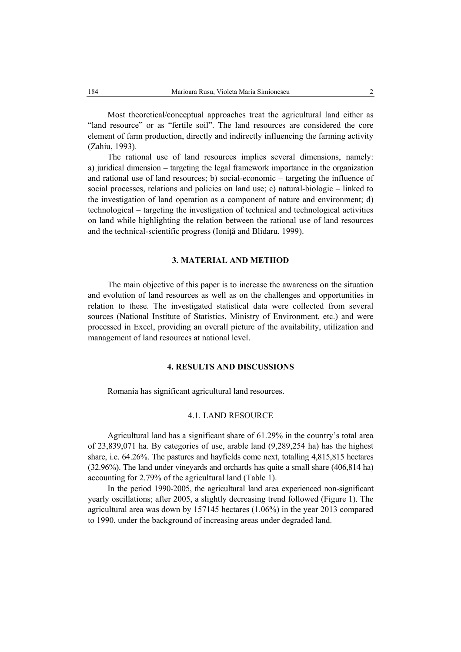Most theoretical/conceptual approaches treat the agricultural land either as "land resource" or as "fertile soil". The land resources are considered the core element of farm production, directly and indirectly influencing the farming activity (Zahiu, 1993).

The rational use of land resources implies several dimensions, namely: a) juridical dimension – targeting the legal framework importance in the organization and rational use of land resources; b) social-economic – targeting the influence of social processes, relations and policies on land use; c) natural-biologic – linked to the investigation of land operation as a component of nature and environment; d) technological – targeting the investigation of technical and technological activities on land while highlighting the relation between the rational use of land resources and the technical-scientific progress (Ioniţă and Blidaru, 1999).

### **3. MATERIAL AND METHOD**

The main objective of this paper is to increase the awareness on the situation and evolution of land resources as well as on the challenges and opportunities in relation to these. The investigated statistical data were collected from several sources (National Institute of Statistics, Ministry of Environment, etc.) and were processed in Excel, providing an overall picture of the availability, utilization and management of land resources at national level.

#### **4. RESULTS AND DISCUSSIONS**

Romania has significant agricultural land resources.

#### 4.1. LAND RESOURCE

Agricultural land has a significant share of 61.29% in the country's total area of 23,839,071 ha. By categories of use, arable land (9,289,254 ha) has the highest share, i.e. 64.26%. The pastures and hayfields come next, totalling 4,815,815 hectares (32.96%). The land under vineyards and orchards has quite a small share (406,814 ha) accounting for 2.79% of the agricultural land (Table 1).

In the period 1990-2005, the agricultural land area experienced non-significant yearly oscillations; after 2005, a slightly decreasing trend followed (Figure 1). The agricultural area was down by 157145 hectares (1.06%) in the year 2013 compared to 1990, under the background of increasing areas under degraded land.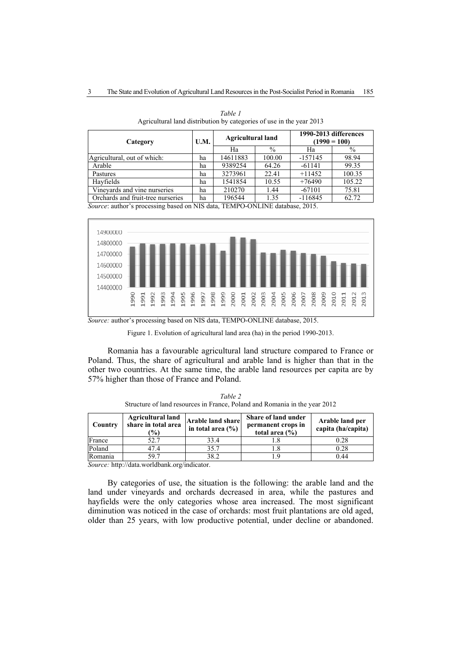| Category                                                                        | U.M. | <b>Agricultural land</b> |        | 1990-2013 differences<br>$(1990 = 100)$ |               |  |  |
|---------------------------------------------------------------------------------|------|--------------------------|--------|-----------------------------------------|---------------|--|--|
|                                                                                 |      | Ha                       | $\%$   | Ha                                      | $\frac{0}{0}$ |  |  |
| Agricultural, out of which:                                                     | ha   | 14611883                 | 100.00 | $-157145$                               | 98.94         |  |  |
| Arable                                                                          | ha   | 9389254                  | 64.26  | $-61141$                                | 99.35         |  |  |
| Pastures                                                                        | ha   | 3273961                  | 22.41  | $+11452$                                | 100.35        |  |  |
| Havfields                                                                       | ha   | 1541854                  | 10.55  | $+76490$                                | 105.22        |  |  |
| Vineyards and vine nurseries                                                    | ha   | 210270                   | 1.44   | $-67101$                                | 75.81         |  |  |
| Orchards and fruit-tree nurseries                                               | ha   | 196544<br>1.35           |        | $-116845$                               | 62.72         |  |  |
| <i>Source:</i> author's processing based on NIS data TEMPO-ONLINE database 2015 |      |                          |        |                                         |               |  |  |

*Table 1*  Agricultural land distribution by categories of use in the year 2013

on NIS data, TEMPO



*Source:* author's processing based on NIS data, TEMPO-ONLINE database, 2015.

Figure 1. Evolution of agricultural land area (ha) in the period 1990-2013.

Romania has a favourable agricultural land structure compared to France or Poland. Thus, the share of agricultural and arable land is higher than that in the other two countries. At the same time, the arable land resources per capita are by 57% higher than those of France and Poland.

| Country | <b>Agricultural land</b><br>share in total area<br>$\%$ | Share of land under<br>Arable land share<br>permanent crops in<br>in total area $(\% )$<br>total area $(\% )$ |     | Arable land per<br>capita (ha/capita) |  |
|---------|---------------------------------------------------------|---------------------------------------------------------------------------------------------------------------|-----|---------------------------------------|--|
| France  | 52.7                                                    | 33.4                                                                                                          |     | 0.28                                  |  |
| Poland  | 47.4                                                    | 35.7                                                                                                          |     | 0.28                                  |  |
| Romania | 59.7                                                    | 38.2                                                                                                          | - Q | 0.44                                  |  |

*Table 2*  Structure of land resources in France, Poland and Romania in the year 2012

*Source:* http://data.worldbank.org/indicator.

By categories of use, the situation is the following: the arable land and the land under vineyards and orchards decreased in area, while the pastures and hayfields were the only categories whose area increased. The most significant diminution was noticed in the case of orchards: most fruit plantations are old aged, older than 25 years, with low productive potential, under decline or abandoned.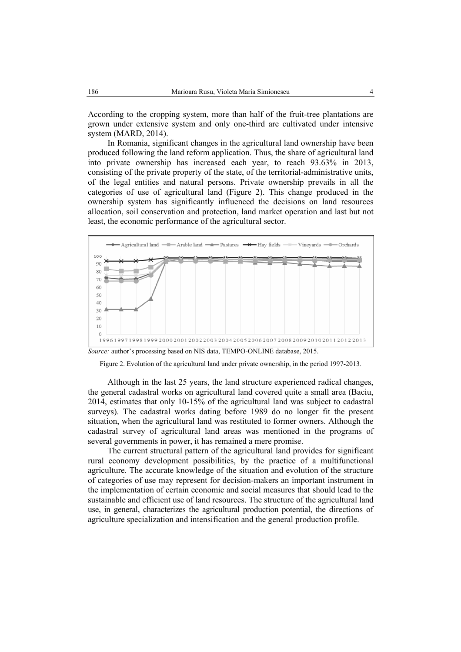According to the cropping system, more than half of the fruit-tree plantations are grown under extensive system and only one-third are cultivated under intensive system (MARD, 2014).

In Romania, significant changes in the agricultural land ownership have been produced following the land reform application. Thus, the share of agricultural land into private ownership has increased each year, to reach 93.63% in 2013, consisting of the private property of the state, of the territorial-administrative units, of the legal entities and natural persons. Private ownership prevails in all the categories of use of agricultural land (Figure 2). This change produced in the ownership system has significantly influenced the decisions on land resources allocation, soil conservation and protection, land market operation and last but not least, the economic performance of the agricultural sector.



*Source:* author's processing based on NIS data, TEMPO-ONLINE database, 2015.

Figure 2. Evolution of the agricultural land under private ownership, in the period 1997-2013.

Although in the last 25 years, the land structure experienced radical changes, the general cadastral works on agricultural land covered quite a small area (Baciu, 2014, estimates that only 10-15% of the agricultural land was subject to cadastral surveys). The cadastral works dating before 1989 do no longer fit the present situation, when the agricultural land was restituted to former owners. Although the cadastral survey of agricultural land areas was mentioned in the programs of several governments in power, it has remained a mere promise.

The current structural pattern of the agricultural land provides for significant rural economy development possibilities, by the practice of a multifunctional agriculture. The accurate knowledge of the situation and evolution of the structure of categories of use may represent for decision-makers an important instrument in the implementation of certain economic and social measures that should lead to the sustainable and efficient use of land resources. The structure of the agricultural land use, in general, characterizes the agricultural production potential, the directions of agriculture specialization and intensification and the general production profile.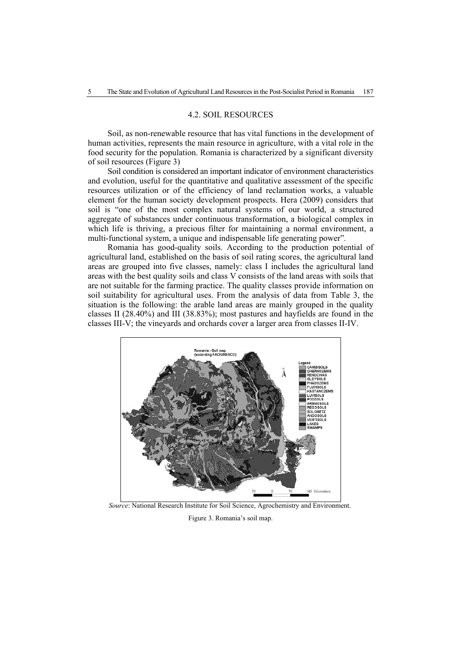#### 4.2. SOIL RESOURCES

Soil, as non-renewable resource that has vital functions in the development of human activities, represents the main resource in agriculture, with a vital role in the food security for the population. Romania is characterized by a significant diversity of soil resources (Figure 3)

Soil condition is considered an important indicator of environment characteristics and evolution, useful for the quantitative and qualitative assessment of the specific resources utilization or of the efficiency of land reclamation works, a valuable element for the human society development prospects. Hera (2009) considers that soil is "one of the most complex natural systems of our world, a structured aggregate of substances under continuous transformation, a biological complex in which life is thriving, a precious filter for maintaining a normal environment, a multi-functional system, a unique and indispensable life generating power"*.*

Romania has good-quality soils. According to the production potential of agricultural land, established on the basis of soil rating scores, the agricultural land areas are grouped into five classes, namely: class I includes the agricultural land areas with the best quality soils and class V consists of the land areas with soils that are not suitable for the farming practice. The quality classes provide information on soil suitability for agricultural uses. From the analysis of data from Table 3, the situation is the following: the arable land areas are mainly grouped in the quality classes II (28.40%) and III (38.83%); most pastures and hayfields are found in the classes III-V; the vineyards and orchards cover a larger area from classes II-IV.



 *Source*: National Research Institute for Soil Science, Agrochemistry and Environment.

Figure 3. Romania's soil map.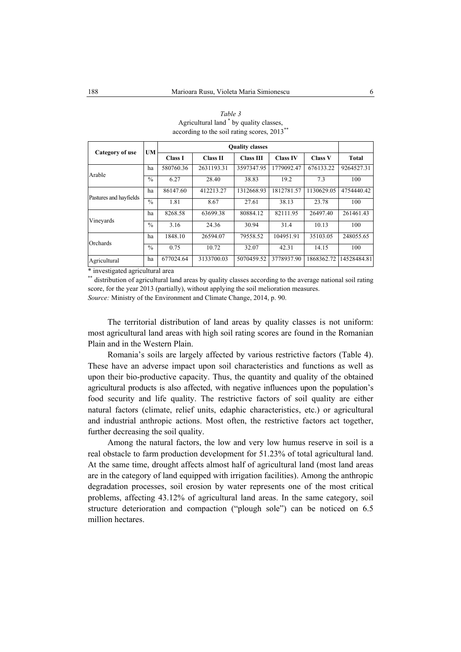| Category of use                                                                                                                 | <b>UM</b>     |                |                 |                  |                 |                |              |
|---------------------------------------------------------------------------------------------------------------------------------|---------------|----------------|-----------------|------------------|-----------------|----------------|--------------|
|                                                                                                                                 |               | <b>Class I</b> | <b>Class II</b> | <b>Class III</b> | <b>Class IV</b> | <b>Class V</b> | <b>Total</b> |
|                                                                                                                                 | ha            | 580760.36      | 2631193.31      | 3597347.95       | 1779092.47      | 676133.22      | 9264527.31   |
| Arable                                                                                                                          | $\frac{0}{0}$ | 6.27           | 28.40           | 38.83            | 19.2            | 7.3            | 100          |
|                                                                                                                                 | ha            | 86147.60       | 412213.27       | 1312668.93       | 1812781.57      | 1130629.05     | 4754440.42   |
| Pastures and hayfields                                                                                                          | $\frac{0}{0}$ | 1.81           | 8.67            | 27.61            | 38.13           | 23.78          | 100          |
|                                                                                                                                 | ha            | 8268.58        | 63699.38        | 80884.12         | 82111.95        | 26497.40       | 261461.43    |
| Vineyards                                                                                                                       | $\frac{0}{0}$ | 3.16           | 24.36           | 30.94            | 31.4            | 10.13          | 100          |
|                                                                                                                                 | ha            | 1848.10        | 26594.07        | 79558.52         | 104951.91       | 35103.05       | 248055.65    |
| Orchards                                                                                                                        | $\frac{0}{0}$ | 0.75           | 10.72           | 32.07            | 42.31           | 14.15          | 100          |
| Agricultural<br>the discussion of a continual continuity of the contract of the contract of the contract of the contract of the | ha            | 677024.64      | 3133700.03      | 5070459.52       | 3778937.90      | 1868362.72     | 14528484.81  |

| Table 3                                     |  |  |  |  |  |  |
|---------------------------------------------|--|--|--|--|--|--|
| Agricultural land * by quality classes,     |  |  |  |  |  |  |
| according to the soil rating scores, 2013** |  |  |  |  |  |  |

investigated agricultural area

\*\* distribution of agricultural land areas by quality classes according to the average national soil rating score, for the year 2013 (partially), without applying the soil melioration measures. *Source:* Ministry of the Environment and Climate Change, 2014, p. 90.

The territorial distribution of land areas by quality classes is not uniform: most agricultural land areas with high soil rating scores are found in the Romanian Plain and in the Western Plain.

Romania's soils are largely affected by various restrictive factors (Table 4). These have an adverse impact upon soil characteristics and functions as well as upon their bio-productive capacity. Thus, the quantity and quality of the obtained agricultural products is also affected, with negative influences upon the population's food security and life quality. The restrictive factors of soil quality are either natural factors (climate, relief units, edaphic characteristics, etc.) or agricultural and industrial anthropic actions. Most often, the restrictive factors act together, further decreasing the soil quality.

Among the natural factors, the low and very low humus reserve in soil is a real obstacle to farm production development for 51.23% of total agricultural land. At the same time, drought affects almost half of agricultural land (most land areas are in the category of land equipped with irrigation facilities). Among the anthropic degradation processes, soil erosion by water represents one of the most critical problems, affecting 43.12% of agricultural land areas. In the same category, soil structure deterioration and compaction ("plough sole") can be noticed on 6.5 million hectares.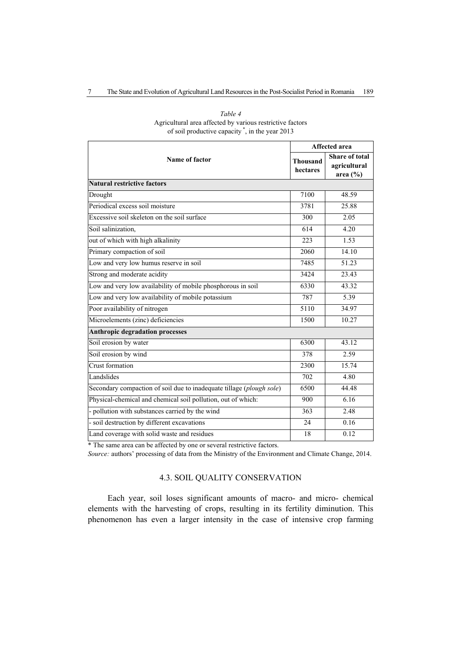|                                                                      |                             | <b>Affected area</b>                           |
|----------------------------------------------------------------------|-----------------------------|------------------------------------------------|
| Name of factor                                                       | <b>Thousand</b><br>hectares | Share of total<br>agricultural<br>area $(\% )$ |
| <b>Natural restrictive factors</b>                                   |                             |                                                |
| Drought                                                              | 7100                        | 48.59                                          |
| Periodical excess soil moisture                                      | 3781                        | 25.88                                          |
| Excessive soil skeleton on the soil surface                          | 300                         | 2.05                                           |
| Soil salinization,                                                   | 614                         | 4.20                                           |
| out of which with high alkalinity                                    | 223                         | 1.53                                           |
| Primary compaction of soil                                           | 2060                        | 14.10                                          |
| Low and very low humus reserve in soil                               | 7485                        | 51.23                                          |
| Strong and moderate acidity                                          | 3424                        | 23.43                                          |
| Low and very low availability of mobile phosphorous in soil          | 6330                        | 43.32                                          |
| Low and very low availability of mobile potassium                    | 787                         | 5.39                                           |
| Poor availability of nitrogen                                        | 5110                        | 34.97                                          |
| Microelements (zinc) deficiencies                                    | 1500                        | 10.27                                          |
| <b>Anthropic degradation processes</b>                               |                             |                                                |
| Soil erosion by water                                                | 6300                        | 43.12                                          |
| Soil erosion by wind                                                 | 378                         | 2.59                                           |
| <b>Crust formation</b>                                               | 2300                        | 15.74                                          |
| Landslides                                                           | 702                         | 4.80                                           |
| Secondary compaction of soil due to inadequate tillage (plough sole) | 6500                        | 44.48                                          |
| Physical-chemical and chemical soil pollution, out of which:         | 900                         | 6.16                                           |
| - pollution with substances carried by the wind                      | 363                         | 2.48                                           |
| - soil destruction by different excavations                          | 24                          | 0.16                                           |
| Land coverage with solid waste and residues                          | 18                          | 0.12                                           |

#### *Table 4*  Agricultural area affected by various restrictive factors of soil productive capacity \*, in the year 2013

\* The same area can be affected by one or several restrictive factors.

*Source:* authors' processing of data from the Ministry of the Environment and Climate Change, 2014.

### 4.3. SOIL QUALITY CONSERVATION

Each year, soil loses significant amounts of macro- and micro- chemical elements with the harvesting of crops, resulting in its fertility diminution. This phenomenon has even a larger intensity in the case of intensive crop farming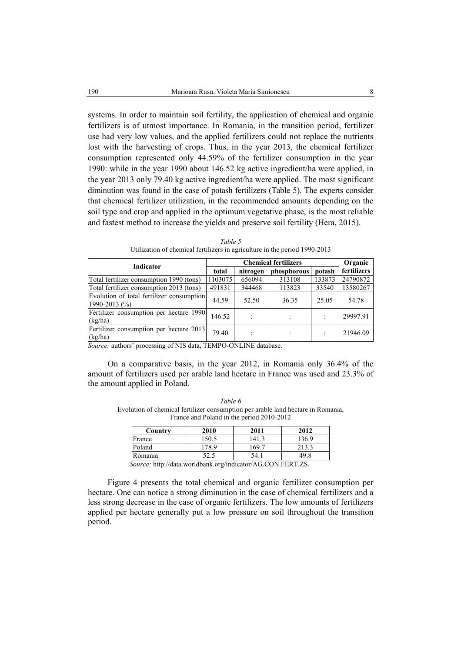systems. In order to maintain soil fertility, the application of chemical and organic fertilizers is of utmost importance. In Romania, in the transition period, fertilizer use had very low values, and the applied fertilizers could not replace the nutrients lost with the harvesting of crops. Thus, in the year 2013, the chemical fertilizer consumption represented only 44.59% of the fertilizer consumption in the year 1990: while in the year 1990 about 146.52 kg active ingredient/ha were applied, in the year 2013 only 79.40 kg active ingredient/ha were applied. The most significant diminution was found in the case of potash fertilizers (Table 5). The experts consider that chemical fertilizer utilization, in the recommended amounts depending on the soil type and crop and applied in the optimum vegetative phase, is the most reliable and fastest method to increase the yields and preserve soil fertility (Hera, 2015).

| Indicator                                                  |         | Organic  |             |        |             |
|------------------------------------------------------------|---------|----------|-------------|--------|-------------|
|                                                            | total   | nitrogen | phosphorous | potash | fertilizers |
| Total fertilizer consumption 1990 (tons)                   | 1103075 | 656094   | 313108      | 133873 | 24790872    |
| Total fertilizer consumption 2013 (tons)                   | 491831  | 344468   | 113823      | 33540  | 13580267    |
| Evolution of total fertilizer consumption<br>1990-2013 (%) | 44.59   | 52.50    | 36.35       | 25.05  | 54.78       |
| Fertilizer consumption per hectare 1990<br>(kg/ha)         | 146.52  |          |             |        | 29997.91    |
| Fertilizer consumption per hectare 2013<br>(kg/ha)         | 79.40   |          |             |        | 21946.09    |

*Table 5*  Utilization of chemical fertilizers in agriculture in the period 1990-2013

*Source:* authors' processing of NIS data, TEMPO-ONLINE database.

On a comparative basis, in the year 2012, in Romania only 36.4% of the amount of fertilizers used per arable land hectare in France was used and 23.3% of the amount applied in Poland.

*Table 6*  Evolution of chemical fertilizer consumption per arable land hectare in Romania, France and Poland in the period 2010-2012

| Country                                                                             | 2010  | 2011  | 2012  |  |  |  |  |
|-------------------------------------------------------------------------------------|-------|-------|-------|--|--|--|--|
| France                                                                              | 150.5 | 141.3 | 136.9 |  |  |  |  |
| Poland                                                                              | 178.9 | 169.7 | 213.3 |  |  |  |  |
| Romania                                                                             |       | 54. i |       |  |  |  |  |
| $\Gamma_{\alpha\mu\nu\rho\alpha}$ ; http://data.worldbank.org/indicator/ACCONEEDT79 |       |       |       |  |  |  |  |

 *Source:* http://data.worldbank.org/indicator/AG.CON.FERT.ZS.

Figure 4 presents the total chemical and organic fertilizer consumption per hectare. One can notice a strong diminution in the case of chemical fertilizers and a less strong decrease in the case of organic fertilizers. The low amounts of fertilizers applied per hectare generally put a low pressure on soil throughout the transition period.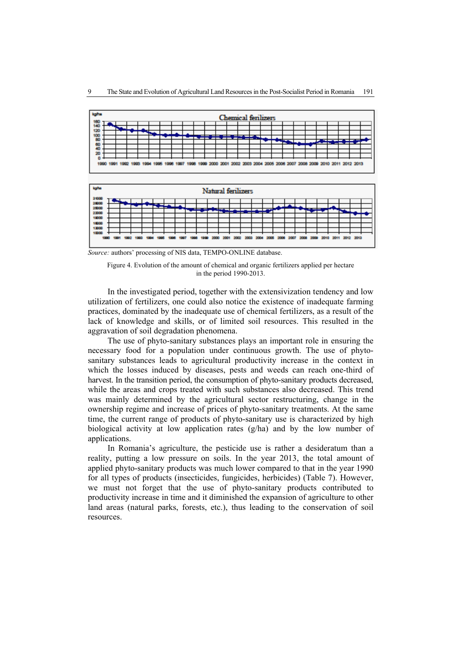

*Source:* authors' processing of NIS data, TEMPO-ONLINE database.



In the investigated period, together with the extensivization tendency and low utilization of fertilizers, one could also notice the existence of inadequate farming practices, dominated by the inadequate use of chemical fertilizers, as a result of the lack of knowledge and skills, or of limited soil resources. This resulted in the aggravation of soil degradation phenomena.

The use of phyto-sanitary substances plays an important role in ensuring the necessary food for a population under continuous growth. The use of phytosanitary substances leads to agricultural productivity increase in the context in which the losses induced by diseases, pests and weeds can reach one-third of harvest. In the transition period, the consumption of phyto-sanitary products decreased, while the areas and crops treated with such substances also decreased. This trend was mainly determined by the agricultural sector restructuring, change in the ownership regime and increase of prices of phyto-sanitary treatments. At the same time, the current range of products of phyto-sanitary use is characterized by high biological activity at low application rates (g/ha) and by the low number of applications.

In Romania's agriculture, the pesticide use is rather a desideratum than a reality, putting a low pressure on soils. In the year 2013, the total amount of applied phyto-sanitary products was much lower compared to that in the year 1990 for all types of products (insecticides, fungicides, herbicides) (Table 7). However, we must not forget that the use of phyto-sanitary products contributed to productivity increase in time and it diminished the expansion of agriculture to other land areas (natural parks, forests, etc.), thus leading to the conservation of soil resources.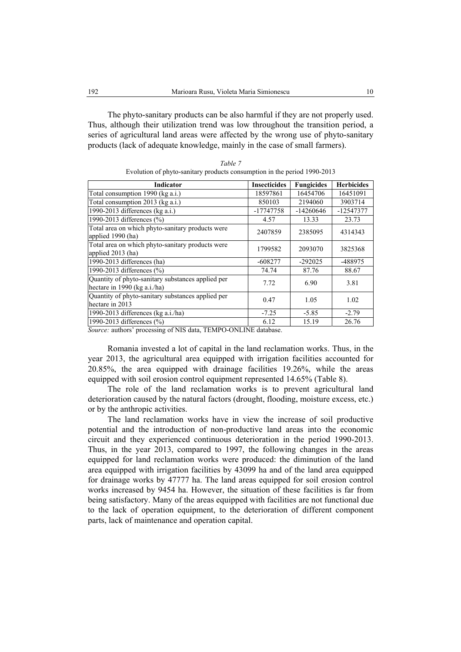The phyto-sanitary products can be also harmful if they are not properly used. Thus, although their utilization trend was low throughout the transition period, a series of agricultural land areas were affected by the wrong use of phyto-sanitary products (lack of adequate knowledge, mainly in the case of small farmers).

| Indicator                                                                         | <b>Insecticides</b> | <b>Fungicides</b> | <b>Herbicides</b> |
|-----------------------------------------------------------------------------------|---------------------|-------------------|-------------------|
| Total consumption 1990 (kg a.i.)                                                  | 18597861            | 16454706          | 16451091          |
| Total consumption 2013 (kg a.i.)                                                  | 850103              | 2194060           | 3903714           |
| 1990-2013 differences ( $kg$ a.i.)                                                | -17747758           | $-14260646$       | -12547377         |
| 1990-2013 differences (%)                                                         | 4.57                | 13.33             | 23.73             |
| Total area on which phyto-sanitary products were<br>applied 1990 (ha)             | 2407859             | 2385095           | 4314343           |
| Total area on which phyto-sanitary products were<br>applied 2013 (ha)             | 1799582             | 2093070           | 3825368           |
| 1990-2013 differences (ha)                                                        | $-608277$           | $-292025$         | -488975           |
| 1990-2013 differences $(\% )$                                                     | 74.74               | 87.76             | 88.67             |
| Quantity of phyto-sanitary substances applied per<br>hectare in 1990 (kg a.i./ha) | 7.72                | 6.90              | 3.81              |
| Quantity of phyto-sanitary substances applied per<br>hectare in 2013              | 0.47                | 1.05              | 1.02              |
| 1990-2013 differences (kg $a.i./ha$ )                                             | $-7.25$             | $-5.85$           | $-2.79$           |
| 1990-2013 differences (%)                                                         | 6.12                | 15.19             | 26.76             |

*Table 7*  Evolution of phyto-sanitary products consumption in the period 1990-2013

*Source:* authors' processing of NIS data, TEMPO-ONLINE database.

Romania invested a lot of capital in the land reclamation works. Thus, in the year 2013, the agricultural area equipped with irrigation facilities accounted for 20.85%, the area equipped with drainage facilities 19.26%, while the areas equipped with soil erosion control equipment represented 14.65% (Table 8).

The role of the land reclamation works is to prevent agricultural land deterioration caused by the natural factors (drought, flooding, moisture excess, etc.) or by the anthropic activities.

The land reclamation works have in view the increase of soil productive potential and the introduction of non-productive land areas into the economic circuit and they experienced continuous deterioration in the period 1990-2013. Thus, in the year 2013, compared to 1997, the following changes in the areas equipped for land reclamation works were produced: the diminution of the land area equipped with irrigation facilities by 43099 ha and of the land area equipped for drainage works by 47777 ha. The land areas equipped for soil erosion control works increased by 9454 ha. However, the situation of these facilities is far from being satisfactory. Many of the areas equipped with facilities are not functional due to the lack of operation equipment, to the deterioration of different component parts, lack of maintenance and operation capital.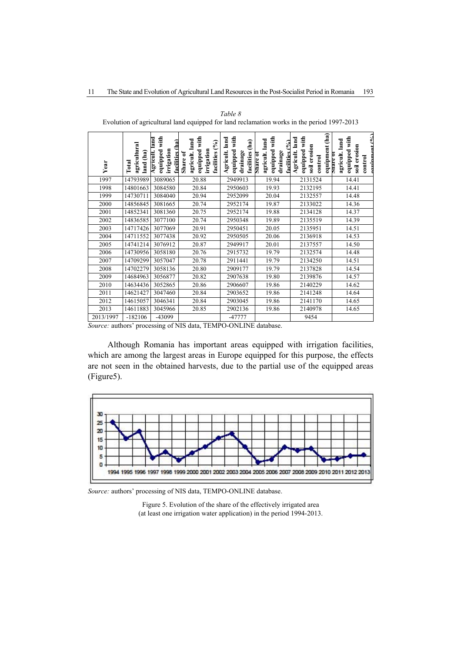|           | agricultural<br>land (ha<br>Total | equipped with<br>Agricult. Iand<br>ha<br>irrigation<br>facilities | equipped with<br>agricult. land<br>$(°_9)$<br>irrigation<br>facilities<br>Share of | equipped with<br>land<br>(ha)<br>Agricult.<br>drainage<br>facilities | equipped with<br>agricult. land<br>facilities $(°6)$<br>drainage<br>snare o | equipment (ha)<br>equipped with<br>land<br>soil erosion<br>Agricult.<br>control | equinment $(0'_0)$<br>equipped with<br>land<br>soil erosion<br>agricult.<br>$S$ <b>Hare 0</b><br>$\frac{1}{2}$ |
|-----------|-----------------------------------|-------------------------------------------------------------------|------------------------------------------------------------------------------------|----------------------------------------------------------------------|-----------------------------------------------------------------------------|---------------------------------------------------------------------------------|----------------------------------------------------------------------------------------------------------------|
| Year      |                                   |                                                                   |                                                                                    |                                                                      |                                                                             |                                                                                 |                                                                                                                |
| 1997      | 14793989                          | 3089065                                                           | 20.88                                                                              | 2949913                                                              | 19.94                                                                       | 2131524                                                                         | 14.41                                                                                                          |
| 1998      | 14801663                          | 3084580                                                           | 20.84                                                                              | 2950603                                                              | 19.93                                                                       | 2132195                                                                         | 14.41                                                                                                          |
| 1999      | 14730711                          | 3084040                                                           | 20.94                                                                              | 2952099                                                              | 20.04                                                                       | 2132557                                                                         | 14.48                                                                                                          |
| 2000      | 14856845                          | 3081665                                                           | 20.74                                                                              | 2952174                                                              | 19.87                                                                       | 2133022                                                                         | 14.36                                                                                                          |
| 2001      | 14852341                          | 3081360                                                           | 20.75                                                                              | 2952174                                                              | 19.88                                                                       | 2134128                                                                         | 14.37                                                                                                          |
| 2002      | 14836585                          | 3077100                                                           | 20.74                                                                              | 2950348                                                              | 19.89                                                                       | 2135519                                                                         | 14.39                                                                                                          |
| 2003      | 14717426                          | 3077069                                                           | 20.91                                                                              | 2950451                                                              | 20.05                                                                       | 2135951                                                                         | 14.51                                                                                                          |
| 2004      | 14711552                          | 3077438                                                           | 20.92                                                                              | 2950505                                                              | 20.06                                                                       | 2136918                                                                         | 14.53                                                                                                          |
| 2005      | 14741214                          | 3076912                                                           | 20.87                                                                              | 2949917                                                              | 20.01                                                                       | 2137557                                                                         | 14.50                                                                                                          |
| 2006      | 14730956                          | 3058180                                                           | 20.76                                                                              | 2915732                                                              | 19.79                                                                       | 2132574                                                                         | 14.48                                                                                                          |
| 2007      | 14709299                          | 3057047                                                           | 20.78                                                                              | 2911441                                                              | 19.79                                                                       | 2134250                                                                         | 14.51                                                                                                          |
| 2008      | 14702279                          | 3058136                                                           | 20.80                                                                              | 2909177                                                              | 19.79                                                                       | 2137828                                                                         | 14.54                                                                                                          |
| 2009      | 14684963                          | 3056877                                                           | 20.82                                                                              | 2907638                                                              | 19.80                                                                       | 2139876                                                                         | 14.57                                                                                                          |
| 2010      | 14634436                          | 3052865                                                           | 20.86                                                                              | 2906607                                                              | 19.86                                                                       | 2140229                                                                         | 14.62                                                                                                          |
| 2011      | 14621427                          | 3047460                                                           | 20.84                                                                              | 2903652                                                              | 19.86                                                                       | 2141248                                                                         | 14.64                                                                                                          |
| 2012      | 14615057                          | 3046341                                                           | 20.84                                                                              | 2903045                                                              | 19.86                                                                       | 2141170                                                                         | 14.65                                                                                                          |
| 2013      | 14611883                          | 3045966                                                           | 20.85                                                                              | 2902136                                                              | 19.86                                                                       | 2140978                                                                         | 14.65                                                                                                          |
| 2013/1997 | $-182106$                         | -43099                                                            |                                                                                    | -47777                                                               |                                                                             | 9454                                                                            |                                                                                                                |

*Table 8*  Evolution of agricultural land equipped for land reclamation works in the period 1997-2013

*Source:* authors' processing of NIS data, TEMPO-ONLINE database.

Although Romania has important areas equipped with irrigation facilities, which are among the largest areas in Europe equipped for this purpose, the effects are not seen in the obtained harvests, due to the partial use of the equipped areas (Figure5).



*Source:* authors' processing of NIS data, TEMPO-ONLINE database.

Figure 5. Evolution of the share of the effectively irrigated area (at least one irrigation water application) in the period 1994-2013.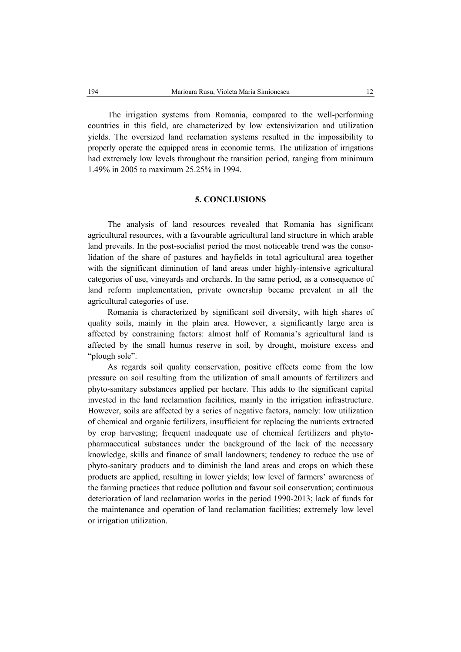The irrigation systems from Romania, compared to the well-performing countries in this field, are characterized by low extensivization and utilization yields. The oversized land reclamation systems resulted in the impossibility to properly operate the equipped areas in economic terms. The utilization of irrigations had extremely low levels throughout the transition period, ranging from minimum 1.49% in 2005 to maximum 25.25% in 1994.

#### **5. CONCLUSIONS**

The analysis of land resources revealed that Romania has significant agricultural resources, with a favourable agricultural land structure in which arable land prevails. In the post-socialist period the most noticeable trend was the consolidation of the share of pastures and hayfields in total agricultural area together with the significant diminution of land areas under highly-intensive agricultural categories of use, vineyards and orchards. In the same period, as a consequence of land reform implementation, private ownership became prevalent in all the agricultural categories of use.

Romania is characterized by significant soil diversity, with high shares of quality soils, mainly in the plain area. However, a significantly large area is affected by constraining factors: almost half of Romania's agricultural land is affected by the small humus reserve in soil, by drought, moisture excess and "plough sole".

As regards soil quality conservation, positive effects come from the low pressure on soil resulting from the utilization of small amounts of fertilizers and phyto-sanitary substances applied per hectare. This adds to the significant capital invested in the land reclamation facilities, mainly in the irrigation infrastructure. However, soils are affected by a series of negative factors, namely: low utilization of chemical and organic fertilizers, insufficient for replacing the nutrients extracted by crop harvesting; frequent inadequate use of chemical fertilizers and phytopharmaceutical substances under the background of the lack of the necessary knowledge, skills and finance of small landowners; tendency to reduce the use of phyto-sanitary products and to diminish the land areas and crops on which these products are applied, resulting in lower yields; low level of farmers' awareness of the farming practices that reduce pollution and favour soil conservation; continuous deterioration of land reclamation works in the period 1990-2013; lack of funds for the maintenance and operation of land reclamation facilities; extremely low level or irrigation utilization.